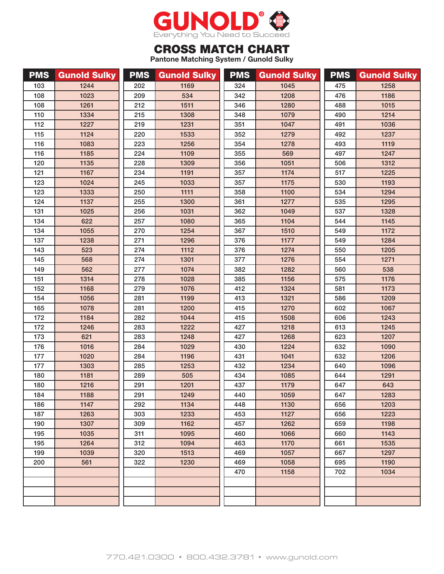

## CROSS MATCH CHART

**Pantone Matching System / Gunold Sulky**

| <b>PMS</b> | <b>Gunold Sulky</b> | <b>PMS</b> | <b>Gunold Sulky</b> | <b>PMS</b> | <b>Gunold Sulky</b> | <b>PMS</b> | <b>Gunold Sulky</b> |
|------------|---------------------|------------|---------------------|------------|---------------------|------------|---------------------|
| 103        | 1244                | 202        | 1169                | 324        | 1045                | 475        | 1258                |
| 108        | 1023                | 209        | 534                 | 342        | 1208                | 476        | 1186                |
| 108        | 1261                | 212        | 1511                | 346        | 1280                | 488        | 1015                |
| 110        | 1334                | 215        | 1308                | 348        | 1079                | 490        | 1214                |
| 112        | 1227                | 219        | 1231                | 351        | 1047                | 491        | 1036                |
| 115        | 1124                | 220        | 1533                | 352        | 1279                | 492        | 1237                |
| 116        | 1083                | 223        | 1256                | 354        | 1278                | 493        | 1119                |
| 116        | 1185                | 224        | 1109                | 355        | 569                 | 497        | 1247                |
| 120        | 1135                | 228        | 1309                | 356        | 1051                | 506        | 1312                |
| 121        | 1167                | 234        | 1191                | 357        | 1174                | 517        | 1225                |
| 123        | 1024                | 245        | 1033                | 357        | 1175                | 530        | 1193                |
| 123        | 1333                | 250        | 1111                | 358        | 1100                | 534        | 1294                |
| 124        | 1137                | 255        | 1300                | 361        | 1277                | 535        | 1295                |
| 131        | 1025                | 256        | 1031                | 362        | 1049                | 537        | 1328                |
| 134        | 622                 | 257        | 1080                | 365        | 1104                | 544        | 1145                |
| 134        | 1055                | 270        | 1254                | 367        | 1510                | 549        | 1172                |
| 137        | 1238                | 271        | 1296                | 376        | 1177                | 549        | 1284                |
| 143        | 523                 | 274        | 1112                | 376        | 1274                | 550        | 1205                |
| 145        | 568                 | 274        | 1301                | 377        | 1276                | 554        | 1271                |
| 149        | 562                 | 277        | 1074                | 382        | 1282                | 560        | 538                 |
| 151        | 1314                | 278        | 1028                | 385        | 1156                | 575        | 1176                |
| 152        | 1168                | 279        | 1076                | 412        | 1324                | 581        | 1173                |
| 154        | 1056                | 281        | 1199                | 413        | 1321                | 586        | 1209                |
| 165        | 1078                | 281        | 1200                | 415        | 1270                | 602        | 1067                |
| 172        | 1184                | 282        | 1044                | 415        | 1508                | 606        | 1243                |
| 172        | 1246                | 283        | 1222                | 427        | 1218                | 613        | 1245                |
| 173        | 621                 | 283        | 1248                | 427        | 1268                | 623        | 1207                |
| 176        | 1016                | 284        | 1029                | 430        | 1224                | 632        | 1090                |
| 177        | 1020                | 284        | 1196                | 431        | 1041                | 632        | 1206                |
| 177        | 1303                | 285        | 1253                | 432        | 1234                | 640        | 1096                |
| 180        | 1181                | 289        | 505                 | 434        | 1085                | 644        | 1291                |
| 180        | 1216                | 291        | 1201                | 437        | 1179                | 647        | 643                 |
| 184        | 1188                | 291        | 1249                | 440        | 1059                | 647        | 1283                |
| 186        | 1147                | 292        | 1134                | 448        | 1130                | 656        | 1203                |
| 187        | 1263                | 303        | 1233                | 453        | 1127                | 656        | 1223                |
| 190        | 1307                | 309        | 1162                | 457        | 1262                | 659        | 1198                |
| 195        | 1035                | 311        | 1095                | 460        | 1066                | 660        | 1143                |
| 195        | 1264                | 312        | 1094                | 463        | 1170                | 661        | 1535                |
| 199        | 1039                | 320        | 1513                | 469        | 1057                | 667        | 1297                |
| 200        | 561                 | 322        | 1230                | 469        | 1058                | 695        | 1190                |
|            |                     |            |                     | 470        | 1158                | 702        | 1034                |
|            |                     |            |                     |            |                     |            |                     |
|            |                     |            |                     |            |                     |            |                     |
|            |                     |            |                     |            |                     |            |                     |